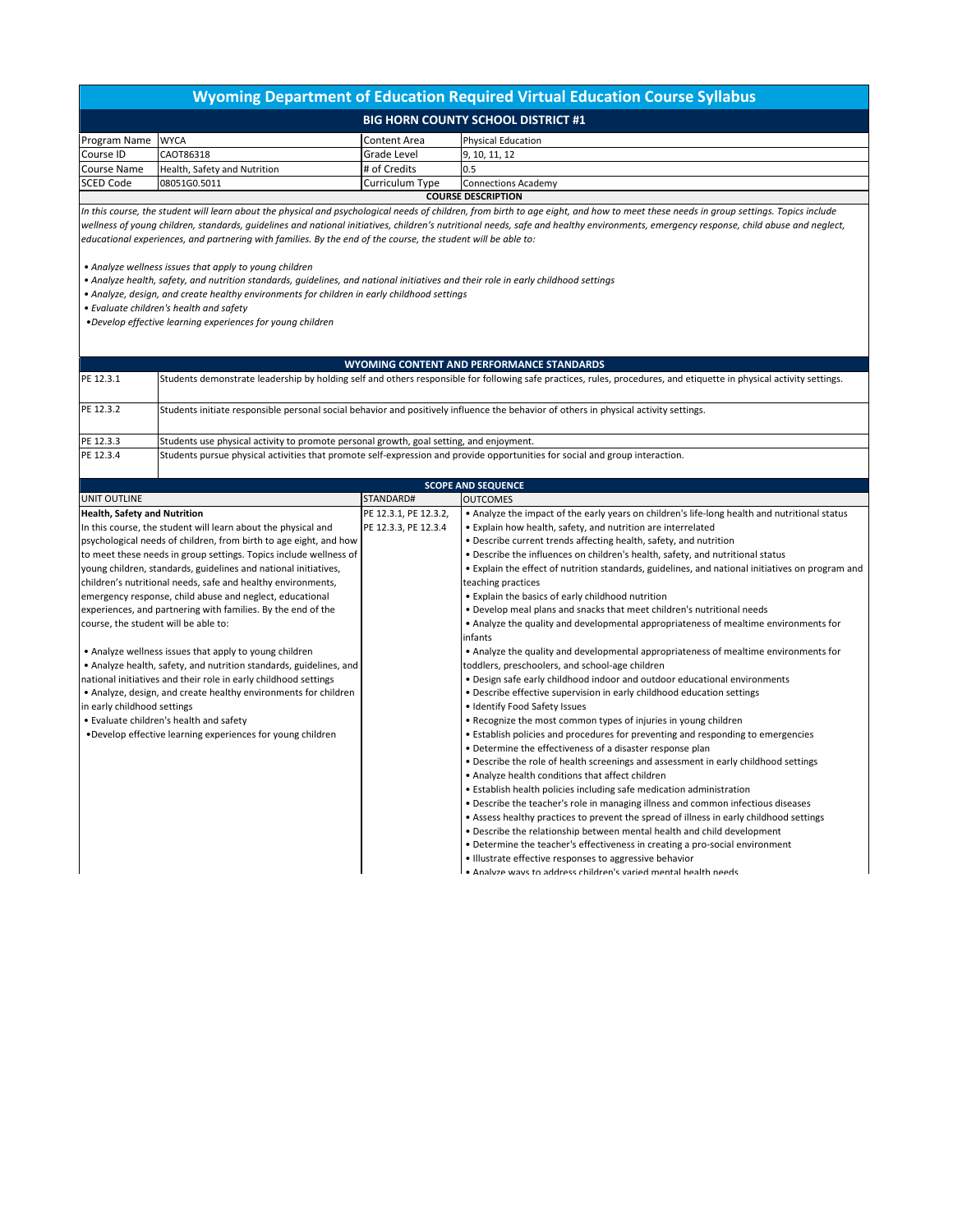## **Wyoming Department of Education Required Virtual Education Course Syllabus**

|                           |                              | <b>BIG HORN COUNTY SCHOOL DISTRICT #1</b> |                           |  |  |
|---------------------------|------------------------------|-------------------------------------------|---------------------------|--|--|
| Program Name WYCA         |                              | Content Area                              | <b>Physical Education</b> |  |  |
| Course ID                 | CAOT86318                    | Grade Level                               | 9, 10, 11, 12             |  |  |
| <b>Course Name</b>        | Health. Safety and Nutrition | # of Credits                              | 10.5                      |  |  |
| <b>SCED Code</b>          | 08051G0.5011                 | Curriculum Type                           | Connections Academy       |  |  |
| <b>COURSE DESCRIPTION</b> |                              |                                           |                           |  |  |

*In this course, the student will learn about the physical and psychological needs of children, from birth to age eight, and how to meet these needs in group settings. Topics include wellness of young children, standards, guidelines and national initiatives, children's nutritional needs, safe and healthy environments, emergency response, child abuse and neglect, educational experiences, and partnering with families. By the end of the course, the student will be able to:*

*• Analyze wellness issues that apply to young children*

*• Analyze health, safety, and nutrition standards, guidelines, and national initiatives and their role in early childhood settings*

*• Analyze, design, and create healthy environments for children in early childhood settings*

*• Evaluate children's health and safety*

*•Develop effective learning experiences for young children*

## **WYOMING CONTENT AND PERFORMANCE STANDARDS**

| PE 12.3.1 | Students demonstrate leadership by holding self and others responsible for following safe practices, rules, procedures, and etiquette in physical activity settings. |  |
|-----------|----------------------------------------------------------------------------------------------------------------------------------------------------------------------|--|
| PE 12.3.2 | Students initiate responsible personal social behavior and positively influence the behavior of others in physical activity settings.                                |  |
| PE 12.3.3 | Students use physical activity to promote personal growth, goal setting, and enjoyment.                                                                              |  |
| PE 12.3.4 | Students pursue physical activities that promote self-expression and provide opportunities for social and group interaction.                                         |  |

| <b>SCOPE AND SEQUENCE</b>                                          |                       |                                                                                                  |  |  |  |  |
|--------------------------------------------------------------------|-----------------------|--------------------------------------------------------------------------------------------------|--|--|--|--|
| UNIT OUTLINE                                                       | STANDARD#             | <b>OUTCOMES</b>                                                                                  |  |  |  |  |
| <b>Health, Safety and Nutrition</b>                                | PE 12.3.1, PE 12.3.2, | • Analyze the impact of the early years on children's life-long health and nutritional status    |  |  |  |  |
| In this course, the student will learn about the physical and      | PE 12.3.3, PE 12.3.4  | . Explain how health, safety, and nutrition are interrelated                                     |  |  |  |  |
| psychological needs of children, from birth to age eight, and how  |                       | • Describe current trends affecting health, safety, and nutrition                                |  |  |  |  |
| to meet these needs in group settings. Topics include wellness of  |                       | . Describe the influences on children's health, safety, and nutritional status                   |  |  |  |  |
| young children, standards, guidelines and national initiatives,    |                       | • Explain the effect of nutrition standards, guidelines, and national initiatives on program and |  |  |  |  |
| children's nutritional needs, safe and healthy environments,       |                       | teaching practices                                                                               |  |  |  |  |
| emergency response, child abuse and neglect, educational           |                       | . Explain the basics of early childhood nutrition                                                |  |  |  |  |
| experiences, and partnering with families. By the end of the       |                       | . Develop meal plans and snacks that meet children's nutritional needs                           |  |  |  |  |
| course, the student will be able to:                               |                       | • Analyze the quality and developmental appropriateness of mealtime environments for             |  |  |  |  |
|                                                                    |                       | infants                                                                                          |  |  |  |  |
| • Analyze wellness issues that apply to young children             |                       | • Analyze the quality and developmental appropriateness of mealtime environments for             |  |  |  |  |
| • Analyze health, safety, and nutrition standards, guidelines, and |                       | toddlers, preschoolers, and school-age children                                                  |  |  |  |  |
| national initiatives and their role in early childhood settings    |                       | . Design safe early childhood indoor and outdoor educational environments                        |  |  |  |  |
| • Analyze, design, and create healthy environments for children    |                       | . Describe effective supervision in early childhood education settings                           |  |  |  |  |
| in early childhood settings                                        |                       | · Identify Food Safety Issues                                                                    |  |  |  |  |
| . Evaluate children's health and safety                            |                       | . Recognize the most common types of injuries in young children                                  |  |  |  |  |
| . Develop effective learning experiences for young children        |                       | • Establish policies and procedures for preventing and responding to emergencies                 |  |  |  |  |
|                                                                    |                       | . Determine the effectiveness of a disaster response plan                                        |  |  |  |  |
|                                                                    |                       | . Describe the role of health screenings and assessment in early childhood settings              |  |  |  |  |
|                                                                    |                       | • Analyze health conditions that affect children                                                 |  |  |  |  |
|                                                                    |                       | • Establish health policies including safe medication administration                             |  |  |  |  |
|                                                                    |                       | . Describe the teacher's role in managing illness and common infectious diseases                 |  |  |  |  |
|                                                                    |                       | • Assess healthy practices to prevent the spread of illness in early childhood settings          |  |  |  |  |
|                                                                    |                       | . Describe the relationship between mental health and child development                          |  |  |  |  |
|                                                                    |                       | • Determine the teacher's effectiveness in creating a pro-social environment                     |  |  |  |  |
|                                                                    |                       | • Illustrate effective responses to aggressive behavior                                          |  |  |  |  |
|                                                                    |                       | . Analyze ways to address children's varied mental health needs                                  |  |  |  |  |